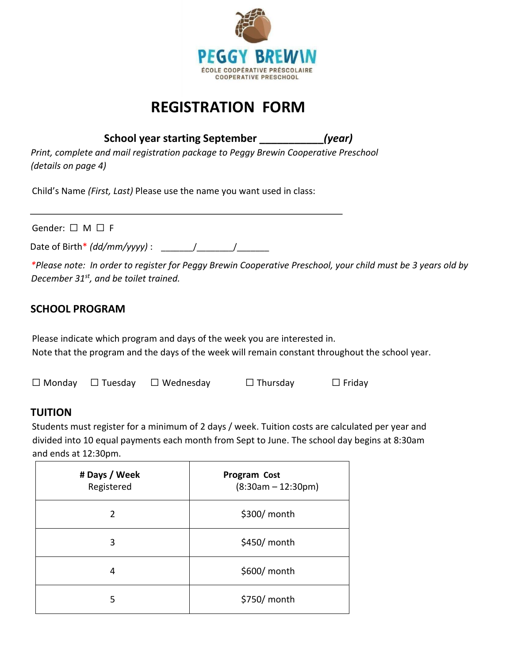

# **REGISTRATION FORM**

**School year starting September \_\_\_\_\_\_\_\_\_\_\_***(year)*

*Print, complete and mail registration package to Peggy Brewin Cooperative Preschool (details on page 4)* 

Child's Name *(First, Last)* Please use the name you want used in class:

Gender:  $\Box$  M  $\Box$  F

Date of Birth\* *(dd/mm/yyyy)* : \_\_\_\_\_\_\_/\_\_\_\_\_\_\_\_/\_\_\_\_\_\_\_

*\*Please note: In order to register for Peggy Brewin Cooperative Preschool, your child must be 3 years old by December 31st, and be toilet trained.* 

## **SCHOOL PROGRAM**

Please indicate which program and days of the week you are interested in. Note that the program and the days of the week will remain constant throughout the school year.

| $\Box$ Monday $\Box$ Tuesday | $\Box$ Wednesday | $\Box$ Thursday | $\Box$ Friday |
|------------------------------|------------------|-----------------|---------------|
|                              |                  |                 |               |

## **TUITION**

Students must register for a minimum of 2 days / week. Tuition costs are calculated per year and divided into 10 equal payments each month from Sept to June. The school day begins at 8:30am and ends at 12:30pm.

| # Days / Week<br>Registered | <b>Program Cost</b><br>$(8:30am - 12:30pm)$ |
|-----------------------------|---------------------------------------------|
| $\overline{2}$              | \$300/ month                                |
| 3                           | \$450/ month                                |
| 4                           | \$600/ month                                |
| 5                           | \$750/ month                                |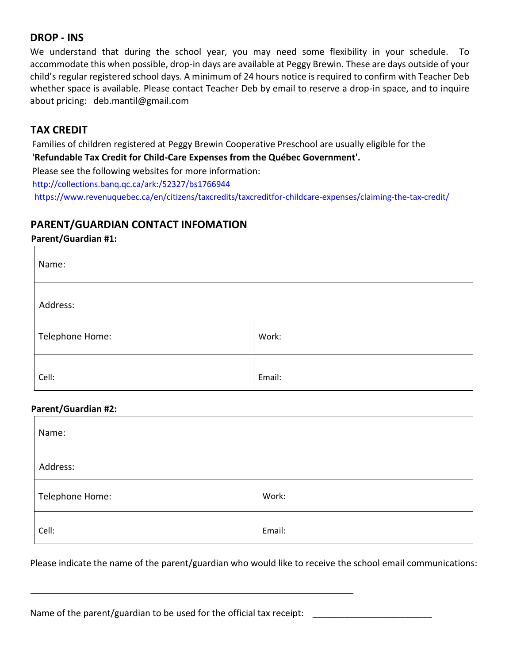### **DROP - INS**

We understand that during the school year, you may need some flexibility in your schedule. To accommodate this when possible, drop-in days are available at Peggy Brewin. These are days outside of your child's regular registered school days. A minimum of 24 hours notice is required to confirm with Teacher Deb whether space is available. Please contact Teacher Deb by email to reserve a drop-in space, and to inquire about pricing: deb.mantil@gmail.com

## **TAX CREDIT**

Families of children registered at Peggy Brewin Cooperative Preschool are usually eligible for the '**Refundable Tax Credit for Child-Care Expenses from the Québec Government'.** 

Please see the following websites for more information:

http://collections.banq.qc.ca/ark:/52327/bs1766944

https://www.revenuquebec.ca/en/citizens/taxcredits/taxcreditfor-childcare-expenses/claiming-the-tax-credit/

### **PARENT/GUARDIAN CONTACT INFOMATION**

#### **Parent/Guardian #1:**

| Name:           |        |  |  |
|-----------------|--------|--|--|
| Address:        |        |  |  |
| Telephone Home: | Work:  |  |  |
| Cell:           | Email: |  |  |

#### **Parent/Guardian #2:**

| Name:           |        |  |  |
|-----------------|--------|--|--|
| Address:        |        |  |  |
| Telephone Home: | Work:  |  |  |
| Cell:           | Email: |  |  |

Please indicate the name of the parent/guardian who would like to receive the school email communications:

Name of the parent/guardian to be used for the official tax receipt: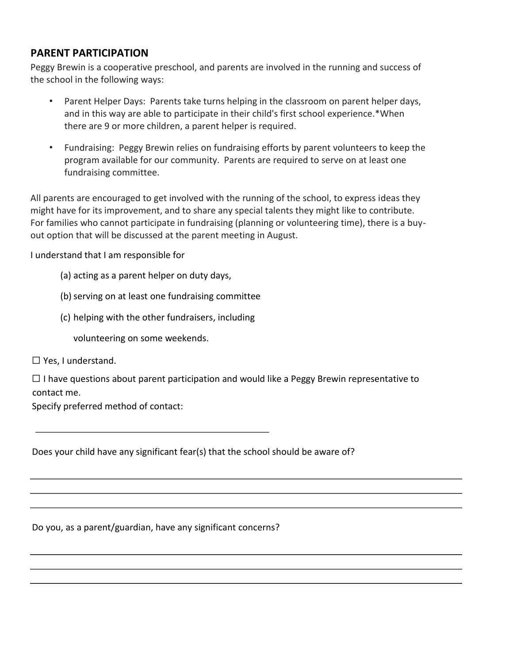### **PARENT PARTICIPATION**

Peggy Brewin is a cooperative preschool, and parents are involved in the running and success of the school in the following ways:

- Parent Helper Days: Parents take turns helping in the classroom on parent helper days, and in this way are able to participate in their child's first school experience.\*When there are 9 or more children, a parent helper is required.
- Fundraising: Peggy Brewin relies on fundraising efforts by parent volunteers to keep the program available for our community. Parents are required to serve on at least one fundraising committee.

All parents are encouraged to get involved with the running of the school, to express ideas they might have for its improvement, and to share any special talents they might like to contribute. For families who cannot participate in fundraising (planning or volunteering time), there is a buyout option that will be discussed at the parent meeting in August.

I understand that I am responsible for

(a) acting as a parent helper on duty days,

(b) serving on at least one fundraising committee

(c) helping with the other fundraisers, including

volunteering on some weekends.

☐ Yes, I understand.

 $\Box$  I have questions about parent participation and would like a Peggy Brewin representative to contact me.

Specify preferred method of contact:

Does your child have any significant fear(s) that the school should be aware of?

Do you, as a parent/guardian, have any significant concerns?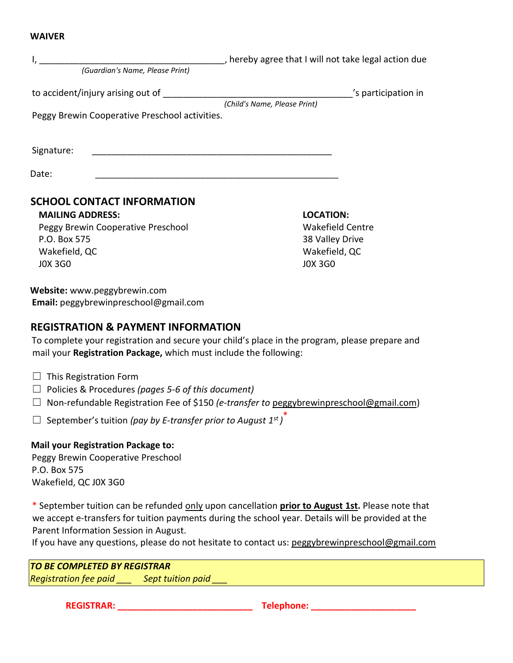#### **WAIVER**

| (Guardian's Name, Please Print)                                                     | , hereby agree that I will not take legal action due |
|-------------------------------------------------------------------------------------|------------------------------------------------------|
| to accident/injury arising out of<br>Peggy Brewin Cooperative Preschool activities. | 's participation in<br>(Child's Name, Please Print)  |
| Signature:                                                                          |                                                      |
| Date:<br><b>SCHOOL CONTACT INFORMATION</b><br><b>MAILING ADDRESS:</b>               | <b>LOCATION:</b>                                     |

Peggy Brewin Cooperative Preschool P.O. Box 575 Wakefield, QC J0X 3G0

Wakefield Centre 38 Valley Drive Wakefield, QC J0X 3G0

**Website:** www.peggybrewin.com **Email:** peggybrewinpreschool@gmail.com

#### **REGISTRATION & PAYMENT INFORMATION**

To complete your registration and secure your child's place in the program, please prepare and mail your **Registration Package,** which must include the following:

- $\Box$  This Registration Form
- ☐ Policies & Procedures *(pages 5-6 of this document)*
- ☐ Non-refundable Registration Fee of \$150 *(e-transfer to* peggybrewinpreschool@gmail.com)
- ☐ September's tuition *(pay by E-transfer prior to August 1 st )* \*

**Mail your Registration Package to:** Peggy Brewin Cooperative Preschool P.O. Box 575 Wakefield, QC J0X 3G0

\* September tuition can be refunded only upon cancellation **prior to August 1st.** Please note that we accept e-transfers for tuition payments during the school year. Details will be provided at the Parent Information Session in August.

If you have any questions, please do not hesitate to contact us: peggybrewinpreschool@gmail.com

*TO BE COMPLETED BY REGISTRAR Registration fee paid \_\_\_ Sept tuition paid \_\_\_* 

**REGISTRAR: \_\_\_\_\_\_\_\_\_\_\_\_\_\_\_\_\_\_\_\_\_\_\_\_\_\_\_ Telephone: \_\_\_\_\_\_\_\_\_\_\_\_\_\_\_\_\_\_\_\_\_**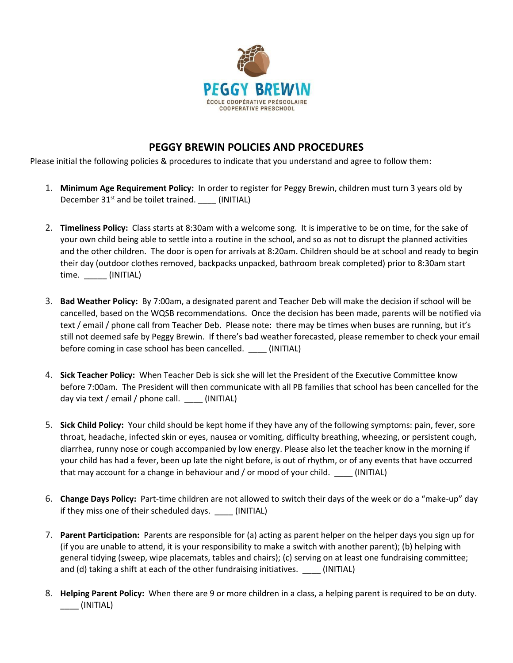

## **PEGGY BREWIN POLICIES AND PROCEDURES**

Please initial the following policies & procedures to indicate that you understand and agree to follow them:

- 1. **Minimum Age Requirement Policy:** In order to register for Peggy Brewin, children must turn 3 years old by December  $31^{st}$  and be toilet trained. \_\_\_\_\_ (INITIAL)
- 2. **Timeliness Policy:** Class starts at 8:30am with a welcome song. It is imperative to be on time, for the sake of your own child being able to settle into a routine in the school, and so as not to disrupt the planned activities and the other children. The door is open for arrivals at 8:20am. Children should be at school and ready to begin their day (outdoor clothes removed, backpacks unpacked, bathroom break completed) prior to 8:30am start time. \_\_\_\_\_ (INITIAL)
- 3. **Bad Weather Policy:** By 7:00am, a designated parent and Teacher Deb will make the decision if school will be cancelled, based on the WQSB recommendations. Once the decision has been made, parents will be notified via text / email / phone call from Teacher Deb. Please note: there may be times when buses are running, but it's still not deemed safe by Peggy Brewin. If there's bad weather forecasted, please remember to check your email before coming in case school has been cancelled. \_\_\_\_ (INITIAL)
- 4. **Sick Teacher Policy:** When Teacher Deb is sick she will let the President of the Executive Committee know before 7:00am. The President will then communicate with all PB families that school has been cancelled for the day via text / email / phone call. \_\_\_\_ (INITIAL)
- 5. **Sick Child Policy:** Your child should be kept home if they have any of the following symptoms: pain, fever, sore throat, headache, infected skin or eyes, nausea or vomiting, difficulty breathing, wheezing, or persistent cough, diarrhea, runny nose or cough accompanied by low energy. Please also let the teacher know in the morning if your child has had a fever, been up late the night before, is out of rhythm, or of any events that have occurred that may account for a change in behaviour and / or mood of your child. \_\_\_\_ (INITIAL)
- 6. **Change Days Policy:** Part-time children are not allowed to switch their days of the week or do a "make-up" day if they miss one of their scheduled days. \_\_\_\_ (INITIAL)
- 7. **Parent Participation:** Parents are responsible for (a) acting as parent helper on the helper days you sign up for (if you are unable to attend, it is your responsibility to make a switch with another parent); (b) helping with general tidying (sweep, wipe placemats, tables and chairs); (c) serving on at least one fundraising committee; and (d) taking a shift at each of the other fundraising initiatives. \_\_\_\_ (INITIAL)
- 8. **Helping Parent Policy:** When there are 9 or more children in a class, a helping parent is required to be on duty. \_\_\_\_ (INITIAL)